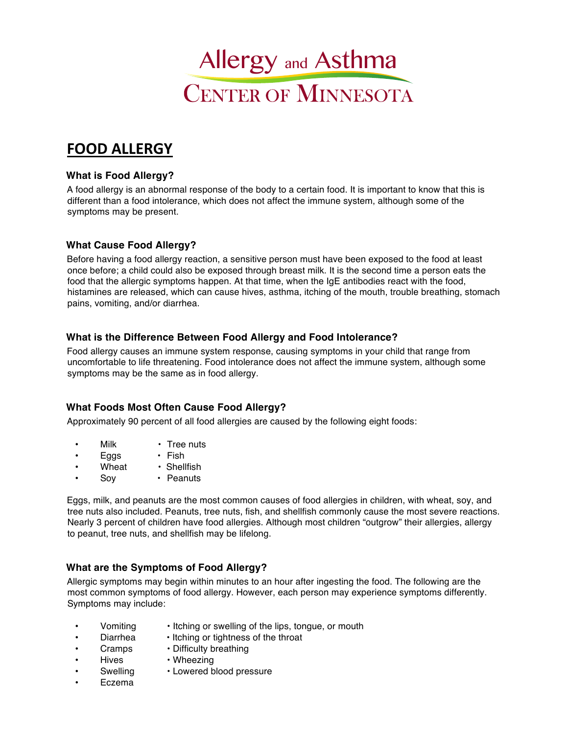

# **FOOD ALLERGY**

## **What is Food Allergy?**

A food allergy is an abnormal response of the body to a certain food. It is important to know that this is different than a food intolerance, which does not affect the immune system, although some of the symptoms may be present.

#### **What Cause Food Allergy?**

Before having a food allergy reaction, a sensitive person must have been exposed to the food at least once before; a child could also be exposed through breast milk. It is the second time a person eats the food that the allergic symptoms happen. At that time, when the IgE antibodies react with the food, histamines are released, which can cause hives, asthma, itching of the mouth, trouble breathing, stomach pains, vomiting, and/or diarrhea.

#### **What is the Difference Between Food Allergy and Food Intolerance?**

Food allergy causes an immune system response, causing symptoms in your child that range from uncomfortable to life threatening. Food intolerance does not affect the immune system, although some symptoms may be the same as in food allergy.

# **What Foods Most Often Cause Food Allergy?**

Approximately 90 percent of all food allergies are caused by the following eight foods:

- Milk Tree nuts
- Eggs Fish
- Wheat Shellfish
- Sov · Peanuts

Eggs, milk, and peanuts are the most common causes of food allergies in children, with wheat, soy, and tree nuts also included. Peanuts, tree nuts, fish, and shellfish commonly cause the most severe reactions. Nearly 3 percent of children have food allergies. Although most children "outgrow" their allergies, allergy to peanut, tree nuts, and shellfish may be lifelong.

# **What are the Symptoms of Food Allergy?**

Allergic symptoms may begin within minutes to an hour after ingesting the food. The following are the most common symptoms of food allergy. However, each person may experience symptoms differently. Symptoms may include:

- 
- Vomiting Itching or swelling of the lips, tongue, or mouth
	- Diarrhea Itching or tightness of the throat
- Cramps Difficulty breathing
	-
- Hives Wheezing
	- Swelling Lowered blood pressure
- Eczema
-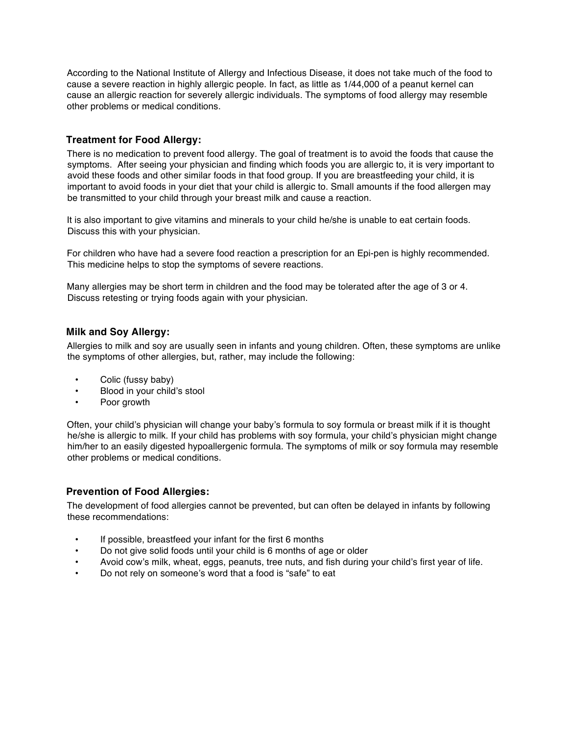According to the National Institute of Allergy and Infectious Disease, it does not take much of the food to cause a severe reaction in highly allergic people. In fact, as little as 1/44,000 of a peanut kernel can cause an allergic reaction for severely allergic individuals. The symptoms of food allergy may resemble other problems or medical conditions.

## **Treatment for Food Allergy:**

There is no medication to prevent food allergy. The goal of treatment is to avoid the foods that cause the symptoms. After seeing your physician and finding which foods you are allergic to, it is very important to avoid these foods and other similar foods in that food group. If you are breastfeeding your child, it is important to avoid foods in your diet that your child is allergic to. Small amounts if the food allergen may be transmitted to your child through your breast milk and cause a reaction.

It is also important to give vitamins and minerals to your child he/she is unable to eat certain foods. Discuss this with your physician.

For children who have had a severe food reaction a prescription for an Epi-pen is highly recommended. This medicine helps to stop the symptoms of severe reactions.

Many allergies may be short term in children and the food may be tolerated after the age of 3 or 4. Discuss retesting or trying foods again with your physician.

#### **Milk and Soy Allergy:**

Allergies to milk and soy are usually seen in infants and young children. Often, these symptoms are unlike the symptoms of other allergies, but, rather, may include the following:

- Colic (fussy baby)
- Blood in your child's stool
- Poor growth

Often, your child's physician will change your baby's formula to soy formula or breast milk if it is thought he/she is allergic to milk. If your child has problems with soy formula, your child's physician might change him/her to an easily digested hypoallergenic formula. The symptoms of milk or soy formula may resemble other problems or medical conditions.

#### **Prevention of Food Allergies:**

The development of food allergies cannot be prevented, but can often be delayed in infants by following these recommendations:

- If possible, breastfeed your infant for the first 6 months
- Do not give solid foods until your child is 6 months of age or older
- Avoid cow's milk, wheat, eggs, peanuts, tree nuts, and fish during your child's first year of life.
- Do not rely on someone's word that a food is "safe" to eat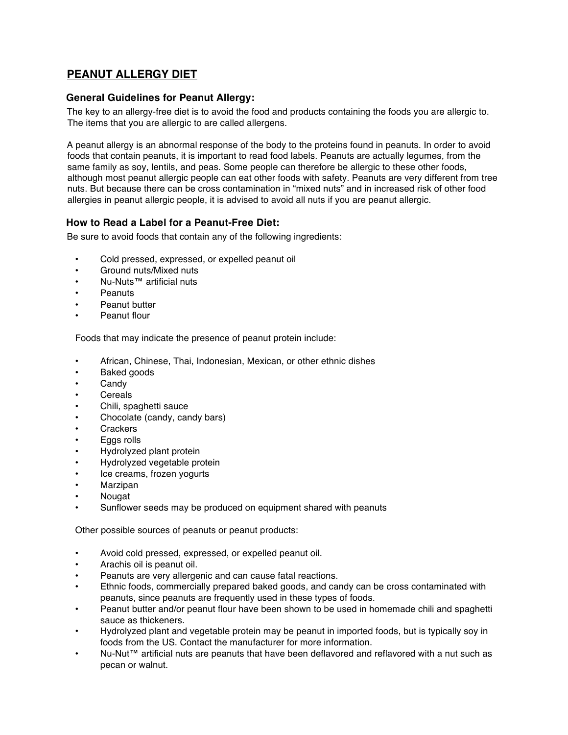# **PEANUT ALLERGY DIET**

#### **General Guidelines for Peanut Allergy:**

The key to an allergy-free diet is to avoid the food and products containing the foods you are allergic to. The items that you are allergic to are called allergens.

A peanut allergy is an abnormal response of the body to the proteins found in peanuts. In order to avoid foods that contain peanuts, it is important to read food labels. Peanuts are actually legumes, from the same family as soy, lentils, and peas. Some people can therefore be allergic to these other foods, although most peanut allergic people can eat other foods with safety. Peanuts are very different from tree nuts. But because there can be cross contamination in "mixed nuts" and in increased risk of other food allergies in peanut allergic people, it is advised to avoid all nuts if you are peanut allergic.

#### **How to Read a Label for a Peanut-Free Diet:**

Be sure to avoid foods that contain any of the following ingredients:

- Cold pressed, expressed, or expelled peanut oil
- Ground nuts/Mixed nuts
- Nu-Nuts™ artificial nuts
- Peanuts
- Peanut butter
- Peanut flour

Foods that may indicate the presence of peanut protein include:

- African, Chinese, Thai, Indonesian, Mexican, or other ethnic dishes
- Baked goods
- **Candy**
- **Cereals**
- Chili, spaghetti sauce
- Chocolate (candy, candy bars)
- **Crackers**
- Eggs rolls
- Hydrolyzed plant protein
- Hydrolyzed vegetable protein
- Ice creams, frozen yogurts
- **Marzipan**
- Nougat
- Sunflower seeds may be produced on equipment shared with peanuts

Other possible sources of peanuts or peanut products:

- Avoid cold pressed, expressed, or expelled peanut oil.
- Arachis oil is peanut oil.
- Peanuts are very allergenic and can cause fatal reactions.
- Ethnic foods, commercially prepared baked goods, and candy can be cross contaminated with peanuts, since peanuts are frequently used in these types of foods.
- Peanut butter and/or peanut flour have been shown to be used in homemade chili and spaghetti sauce as thickeners.
- Hydrolyzed plant and vegetable protein may be peanut in imported foods, but is typically soy in foods from the US. Contact the manufacturer for more information.
- Nu-Nut™ artificial nuts are peanuts that have been deflavored and reflavored with a nut such as pecan or walnut.